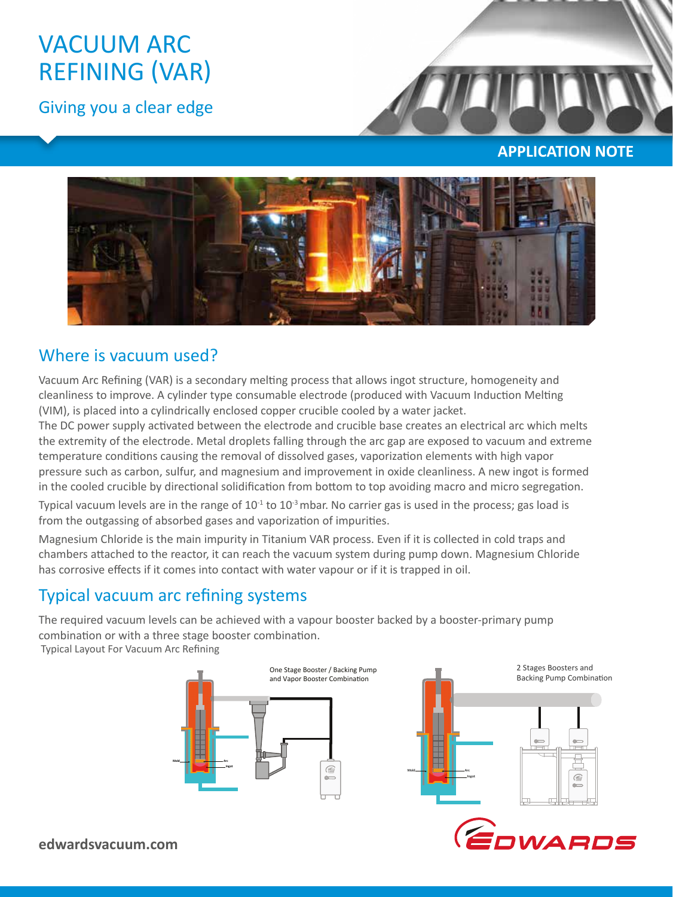# VACUUM ARC REFINING (VAR)

Giving you a clear edge



### **APPLICATION NOTE**



# Where is vacuum used?

Vacuum Arc Refining (VAR) is a secondary melting process that allows ingot structure, homogeneity and cleanliness to improve. A cylinder type consumable electrode (produced with Vacuum Induction Melting (VIM), is placed into a cylindrically enclosed copper crucible cooled by a water jacket.

The DC power supply activated between the electrode and crucible base creates an electrical arc which melts the extremity of the electrode. Metal droplets falling through the arc gap are exposed to vacuum and extreme temperature conditions causing the removal of dissolved gases, vaporization elements with high vapor pressure such as carbon, sulfur, and magnesium and improvement in oxide cleanliness. A new ingot is formed in the cooled crucible by directional solidification from bottom to top avoiding macro and micro segregation.

Typical vacuum levels are in the range of  $10<sup>-1</sup>$  to  $10<sup>-3</sup>$  mbar. No carrier gas is used in the process; gas load is from the outgassing of absorbed gases and vaporization of impurities.

Magnesium Chloride is the main impurity in Titanium VAR process. Even if it is collected in cold traps and chambers attached to the reactor, it can reach the vacuum system during pump down. Magnesium Chloride has corrosive effects if it comes into contact with water vapour or if it is trapped in oil.

# Typical vacuum arc refining systems

The required vacuum levels can be achieved with a vapour booster backed by a booster-primary pump combination or with a three stage booster combination. Typical Layout For Vacuum Arc Refining



**edwardsvacuum.com**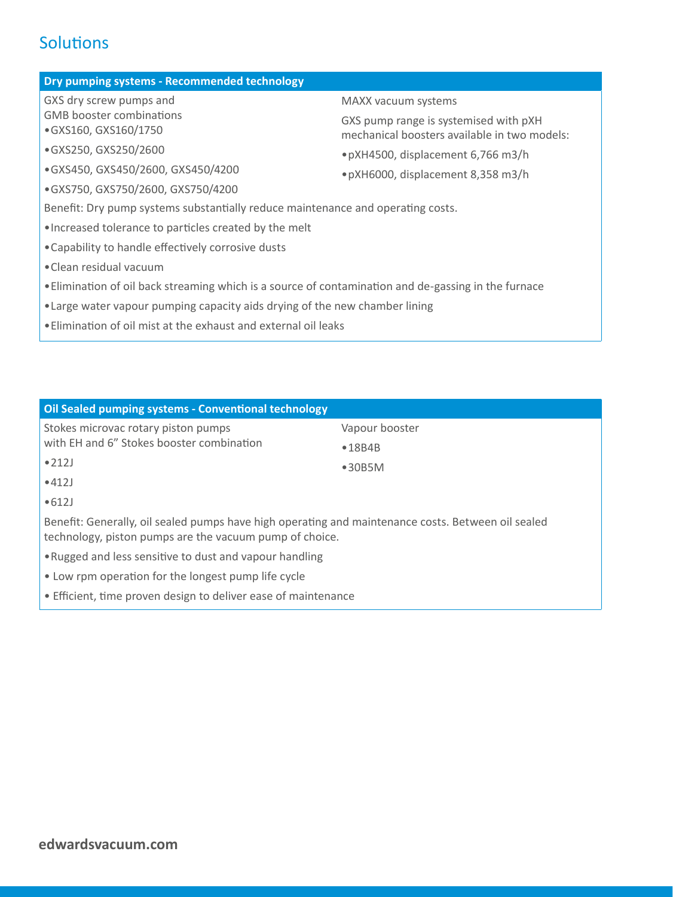# **Solutions**

#### **Dry pumping systems - Recommended technology**

GXS dry screw pumps and GMB booster combinations •GXS160, GXS160/1750

#### •GXS250, GXS250/2600

- •GXS450, GXS450/2600, GXS450/4200
- •GXS750, GXS750/2600, GXS750/4200

#### MAXX vacuum systems

GXS pump range is systemised with pXH mechanical boosters available in two models:

- •pXH4500, displacement 6,766 m3/h
- •pXH6000, displacement 8,358 m3/h

Benefit: Dry pump systems substantially reduce maintenance and operating costs.

- •Increased tolerance to particles created by the melt
- •Capability to handle effectively corrosive dusts
- •Clean residual vacuum
- •Elimination of oil back streaming which is a source of contamination and de‐gassing in the furnace
- •Large water vapour pumping capacity aids drying of the new chamber lining
- •Elimination of oil mist at the exhaust and external oil leaks

| Oil Sealed pumping systems - Conventional technology                                                                                                          |                |  |
|---------------------------------------------------------------------------------------------------------------------------------------------------------------|----------------|--|
| Stokes microvac rotary piston pumps                                                                                                                           | Vapour booster |  |
| with EH and 6" Stokes booster combination                                                                                                                     | •18B4B         |  |
| •212J                                                                                                                                                         | •30B5M         |  |
| •412J                                                                                                                                                         |                |  |
| •612J                                                                                                                                                         |                |  |
| Benefit: Generally, oil sealed pumps have high operating and maintenance costs. Between oil sealed<br>technology, piston pumps are the vacuum pump of choice. |                |  |
| . Rugged and less sensitive to dust and vapour handling                                                                                                       |                |  |
| • Low rpm operation for the longest pump life cycle                                                                                                           |                |  |
| • Efficient, time proven design to deliver ease of maintenance                                                                                                |                |  |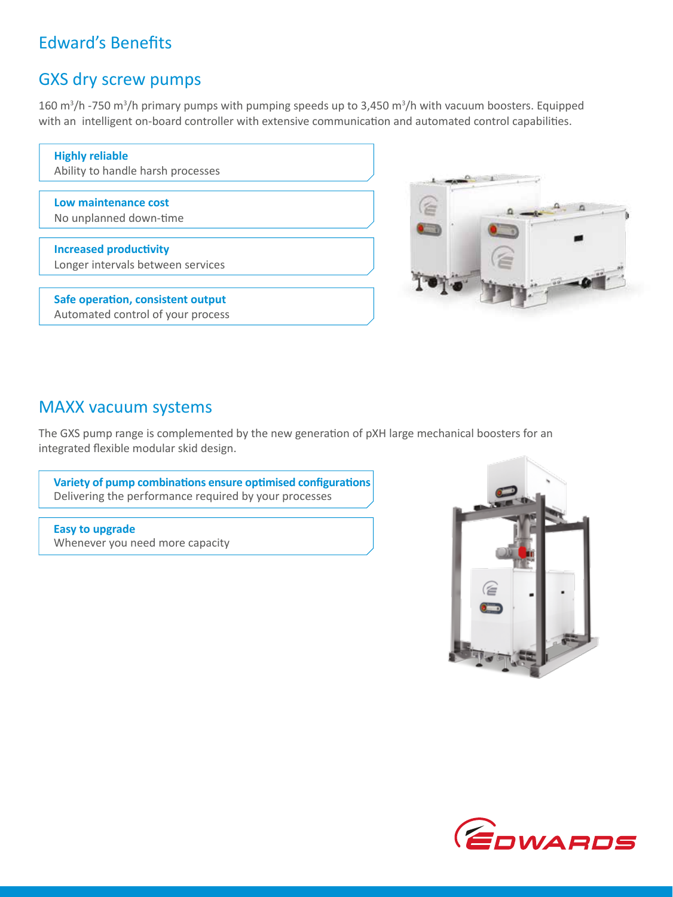# Edward's Benefits

# GXS dry screw pumps

160 m<sup>3</sup>/h -750 m<sup>3</sup>/h primary pumps with pumping speeds up to 3,450 m<sup>3</sup>/h with vacuum boosters. Equipped with an intelligent on-board controller with extensive communication and automated control capabilities.

| <b>Highly reliable</b><br>Ability to handle harsh processes |
|-------------------------------------------------------------|
|                                                             |
| Low maintenance cost                                        |
| No unplanned down-time                                      |
|                                                             |
| <b>Increased productivity</b>                               |
| Longer intervals between services                           |
|                                                             |
| Safe operation, consistent output                           |
| Automated control of your process                           |



### MAXX vacuum systems

The GXS pump range is complemented by the new generation of pXH large mechanical boosters for an integrated flexible modular skid design.

**Variety of pump combinations ensure optimised configurations** Delivering the performance required by your processes

**Easy to upgrade**  Whenever you need more capacity